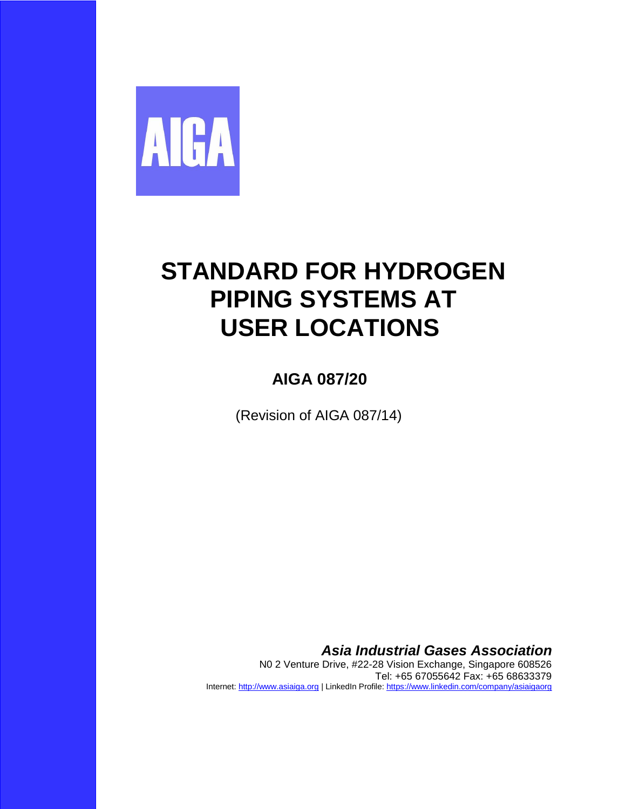

# **STANDARD FOR HYDROGEN PIPING SYSTEMS AT USER LOCATIONS**

## **AIGA 087/20**

(Revision of AIGA 087/14)

*Asia Industrial Gases Association*

N0 2 Venture Drive, #22-28 Vision Exchange, Singapore 608526 Tel: +65 67055642 Fax: +65 68633379 Internet[: http://www.asiaiga.org](http://www.asiaiga.org/) | LinkedIn Profile:<https://www.linkedin.com/company/asiaigaorg>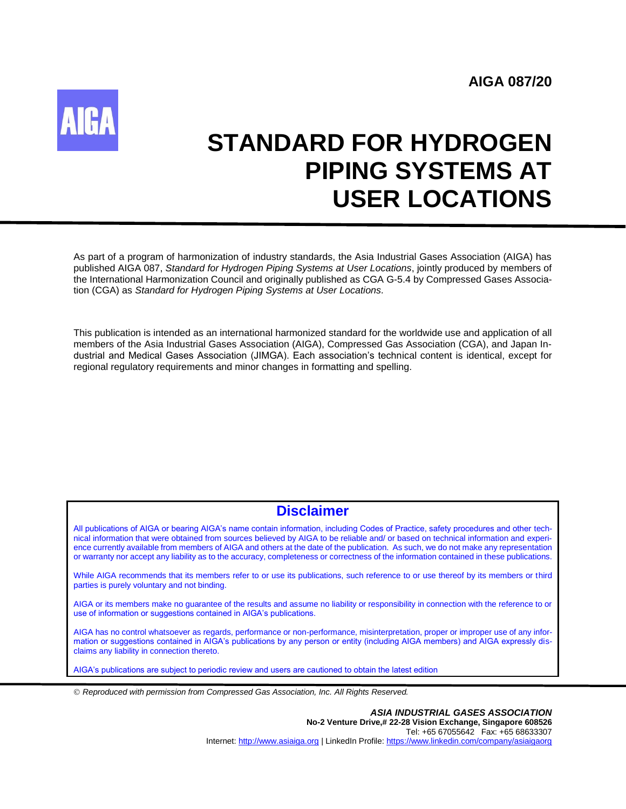

# **STANDARD FOR HYDROGEN PIPING SYSTEMS AT USER LOCATIONS**

As part of a program of harmonization of industry standards, the Asia Industrial Gases Association (AIGA) has published AIGA 087, *Standard for Hydrogen Piping Systems at User Locations*, jointly produced by members of the International Harmonization Council and originally published as CGA G-5.4 by Compressed Gases Association (CGA) as *Standard for Hydrogen Piping Systems at User Locations.*

This publication is intended as an international harmonized standard for the worldwide use and application of all members of the Asia Industrial Gases Association (AIGA), Compressed Gas Association (CGA), and Japan Industrial and Medical Gases Association (JIMGA). Each association's technical content is identical, except for regional regulatory requirements and minor changes in formatting and spelling.

### **Disclaimer**

All publications of AIGA or bearing AIGA's name contain information, including Codes of Practice, safety procedures and other technical information that were obtained from sources believed by AIGA to be reliable and/ or based on technical information and experience currently available from members of AIGA and others at the date of the publication. As such, we do not make any representation or warranty nor accept any liability as to the accuracy, completeness or correctness of the information contained in these publications.

While AIGA recommends that its members refer to or use its publications, such reference to or use thereof by its members or third parties is purely voluntary and not binding.

AIGA or its members make no guarantee of the results and assume no liability or responsibility in connection with the reference to or use of information or suggestions contained in AIGA's publications.

AIGA has no control whatsoever as regards, performance or non-performance, misinterpretation, proper or improper use of any information or suggestions contained in AIGA's publications by any person or entity (including AIGA members) and AIGA expressly disclaims any liability in connection thereto.

AIGA's publications are subject to periodic review and users are cautioned to obtain the latest edition

*Reproduced with permission from Compressed Gas Association, Inc. All Rights Reserved.*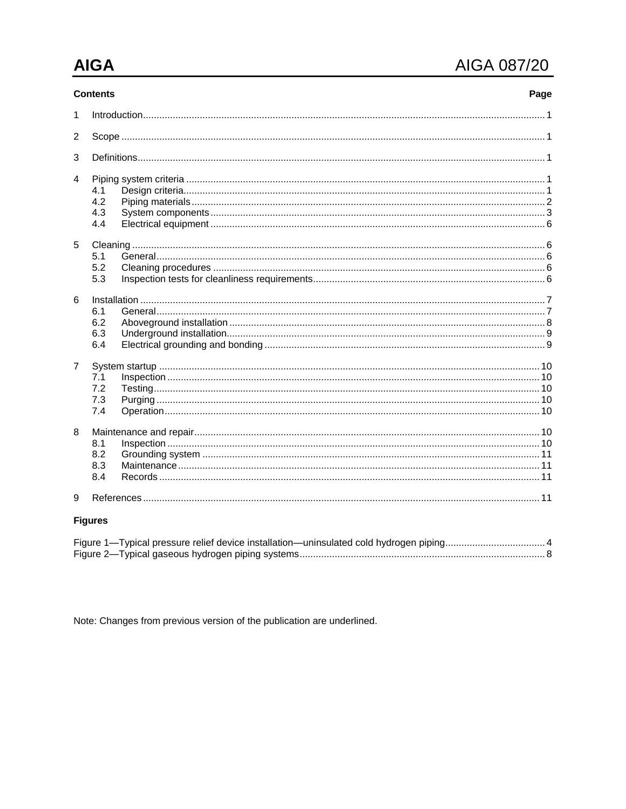## **AIGA**

## AIGA 087/20

| <b>Contents</b><br>Page |                          |  |  |  |  |  |
|-------------------------|--------------------------|--|--|--|--|--|
| 1                       |                          |  |  |  |  |  |
| $\overline{2}$          |                          |  |  |  |  |  |
| 3                       |                          |  |  |  |  |  |
| 4                       | 4.1<br>4.2<br>4.3<br>4.4 |  |  |  |  |  |
| 5                       | 5.1<br>5.2<br>5.3        |  |  |  |  |  |
| 6                       | 6.1<br>6.2<br>6.3<br>6.4 |  |  |  |  |  |
| $\overline{7}$          | 7.1<br>7.2<br>7.3<br>7.4 |  |  |  |  |  |
| 8                       | 8.1<br>8.2<br>8.3<br>8.4 |  |  |  |  |  |
| 9                       |                          |  |  |  |  |  |
|                         | <b>Figures</b>           |  |  |  |  |  |
|                         |                          |  |  |  |  |  |

Note: Changes from previous version of the publication are underlined.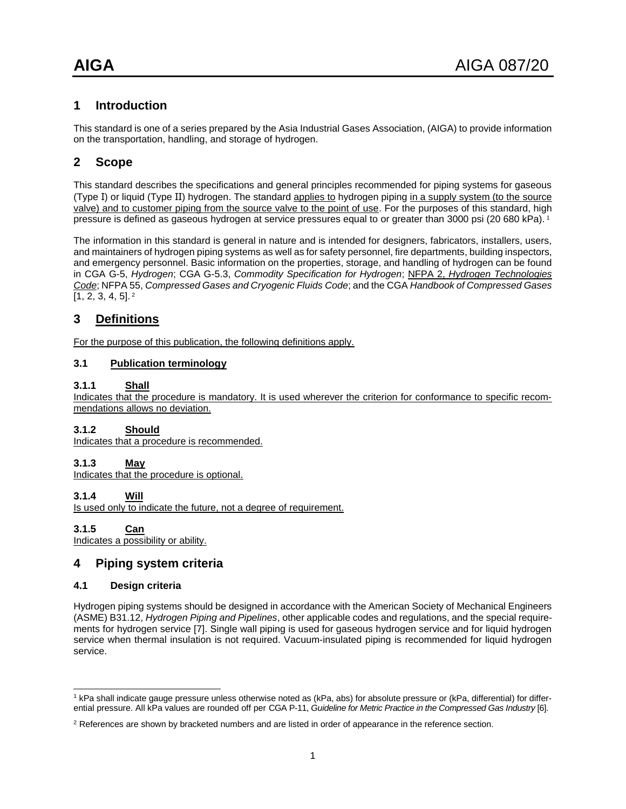#### <span id="page-3-0"></span>**1 Introduction**

This standard is one of a series prepared by the Asia Industrial Gases Association, (AIGA) to provide information on the transportation, handling, and storage of hydrogen.

### <span id="page-3-1"></span>**2 Scope**

This standard describes the specifications and general principles recommended for piping systems for gaseous (Type I) or liquid (Type II) hydrogen. The standard applies to hydrogen piping in a supply system (to the source valve) and to customer piping from the source valve to the point of use. For the purposes of this standard, high pressure is defined as gaseous hydrogen at service pressures equal to or greater than 3000 psi (20 680 kPa). <sup>1</sup>

The information in this standard is general in nature and is intended for designers, fabricators, installers, users, and maintainers of hydrogen piping systems as well as for safety personnel, fire departments, building inspectors, and emergency personnel. Basic information on the properties, storage, and handling of hydrogen can be found in CGA G-5, *Hydrogen*; CGA G-5.3, *Commodity Specification for Hydrogen*; NFPA 2, *Hydrogen Technologies Code*; NFPA 55, *Compressed Gases and Cryogenic Fluids Code*; and the CGA *Handbook of Compressed Gases*  [1, 2, 3, 4, 5]. <sup>2</sup>

#### <span id="page-3-2"></span>**3 Definitions**

For the purpose of this publication, the following definitions apply.

#### **3.1 Publication terminology**

#### **3.1.1 Shall**

Indicates that the procedure is mandatory. It is used wherever the criterion for conformance to specific recommendations allows no deviation.

#### **3.1.2 Should**

Indicates that a procedure is recommended.

#### **3.1.3 May**

Indicates that the procedure is optional.

#### **3.1.4 Will**

Is used only to indicate the future, not a degree of requirement.

#### **3.1.5 Can**

 $\overline{a}$ 

<span id="page-3-3"></span>Indicates a possibility or ability.

#### **4 Piping system criteria**

#### <span id="page-3-4"></span>**4.1 Design criteria**

Hydrogen piping systems should be designed in accordance with the American Society of Mechanical Engineers (ASME) B31.12, *Hydrogen Piping and Pipelines*, other applicable codes and regulations, and the special requirements for hydrogen service [7]. Single wall piping is used for gaseous hydrogen service and for liquid hydrogen service when thermal insulation is not required. Vacuum-insulated piping is recommended for liquid hydrogen service.

<sup>1</sup> kPa shall indicate gauge pressure unless otherwise noted as (kPa, abs) for absolute pressure or (kPa, differential) for differential pressure. All kPa values are rounded off per CGA P-11, *Guideline for Metric Practice in the Compressed Gas Industry* [6].

<sup>&</sup>lt;sup>2</sup> References are shown by bracketed numbers and are listed in order of appearance in the reference section.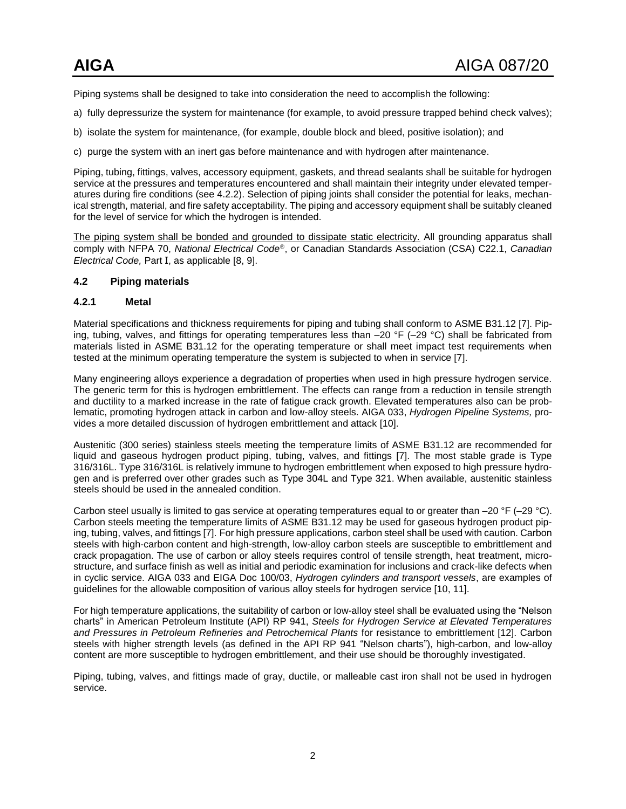Piping systems shall be designed to take into consideration the need to accomplish the following:

- a) fully depressurize the system for maintenance (for example, to avoid pressure trapped behind check valves);
- b) isolate the system for maintenance, (for example, double block and bleed, positive isolation); and
- c) purge the system with an inert gas before maintenance and with hydrogen after maintenance.

Piping, tubing, fittings, valves, accessory equipment, gaskets, and thread sealants shall be suitable for hydrogen service at the pressures and temperatures encountered and shall maintain their integrity under elevated temperatures during fire conditions (see 4.2.2). Selection of piping joints shall consider the potential for leaks, mechanical strength, material, and fire safety acceptability. The piping and accessory equipment shall be suitably cleaned for the level of service for which the hydrogen is intended.

The piping system shall be bonded and grounded to dissipate static electricity. All grounding apparatus shall comply with NFPA 70, *National Electrical Code*, or Canadian Standards Association (CSA) C22.1, *Canadian Electrical Code,* Part I, as applicable [8, 9].

#### <span id="page-4-0"></span>**4.2 Piping materials**

#### **4.2.1 Metal**

Material specifications and thickness requirements for piping and tubing shall conform to ASME B31.12 [7]. Piping, tubing, valves, and fittings for operating temperatures less than –20 °F (–29 °C) shall be fabricated from materials listed in ASME B31.12 for the operating temperature or shall meet impact test requirements when tested at the minimum operating temperature the system is subjected to when in service [7].

Many engineering alloys experience a degradation of properties when used in high pressure hydrogen service. The generic term for this is hydrogen embrittlement. The effects can range from a reduction in tensile strength and ductility to a marked increase in the rate of fatigue crack growth. Elevated temperatures also can be problematic, promoting hydrogen attack in carbon and low-alloy steels. AIGA 033, *Hydrogen Pipeline Systems,* provides a more detailed discussion of hydrogen embrittlement and attack [10].

Austenitic (300 series) stainless steels meeting the temperature limits of ASME B31.12 are recommended for liquid and gaseous hydrogen product piping, tubing, valves, and fittings [7]. The most stable grade is Type 316/316L. Type 316/316L is relatively immune to hydrogen embrittlement when exposed to high pressure hydrogen and is preferred over other grades such as Type 304L and Type 321. When available, austenitic stainless steels should be used in the annealed condition.

Carbon steel usually is limited to gas service at operating temperatures equal to or greater than  $-20$  °F ( $-29$  °C). Carbon steels meeting the temperature limits of ASME B31.12 may be used for gaseous hydrogen product piping, tubing, valves, and fittings [7]. For high pressure applications, carbon steel shall be used with caution. Carbon steels with high-carbon content and high-strength, low-alloy carbon steels are susceptible to embrittlement and crack propagation. The use of carbon or alloy steels requires control of tensile strength, heat treatment, microstructure, and surface finish as well as initial and periodic examination for inclusions and crack-like defects when in cyclic service. AIGA 033 and EIGA Doc 100/03, *Hydrogen cylinders and transport vessels*, are examples of guidelines for the allowable composition of various alloy steels for hydrogen service [10, 11].

For high temperature applications, the suitability of carbon or low-alloy steel shall be evaluated using the "Nelson charts" in American Petroleum Institute (API) RP 941, *Steels for Hydrogen Service at Elevated Temperatures and Pressures in Petroleum Refineries and Petrochemical Plants* for resistance to embrittlement [12]. Carbon steels with higher strength levels (as defined in the API RP 941 "Nelson charts"), high-carbon, and low-alloy content are more susceptible to hydrogen embrittlement, and their use should be thoroughly investigated.

Piping, tubing, valves, and fittings made of gray, ductile, or malleable cast iron shall not be used in hydrogen service.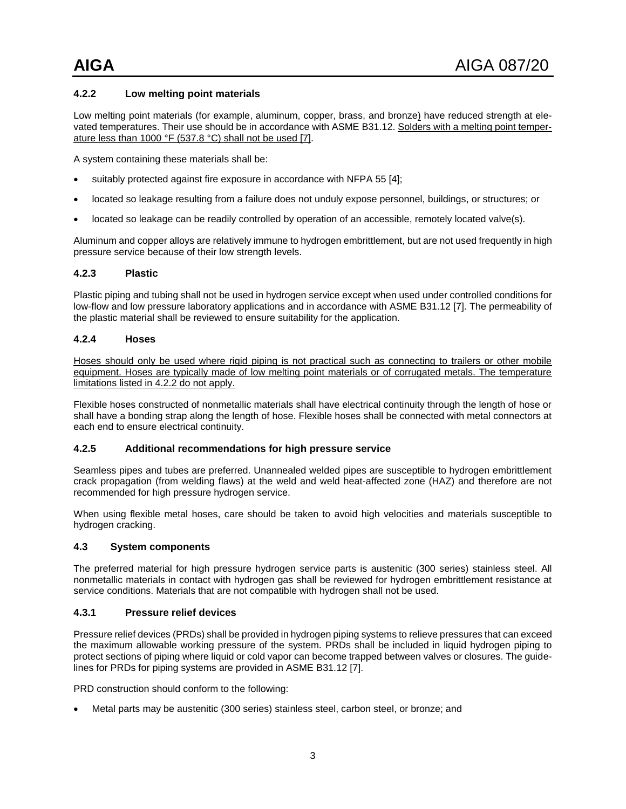#### **4.2.2 Low melting point materials**

Low melting point materials (for example, aluminum, copper, brass, and bronze) have reduced strength at elevated temperatures. Their use should be in accordance with ASME B31.12. Solders with a melting point temperature less than 1000 °F (537.8 °C) shall not be used [7].

A system containing these materials shall be:

- suitably protected against fire exposure in accordance with NFPA 55 [4];
- located so leakage resulting from a failure does not unduly expose personnel, buildings, or structures; or
- located so leakage can be readily controlled by operation of an accessible, remotely located valve(s).

Aluminum and copper alloys are relatively immune to hydrogen embrittlement, but are not used frequently in high pressure service because of their low strength levels.

#### **4.2.3 Plastic**

Plastic piping and tubing shall not be used in hydrogen service except when used under controlled conditions for low-flow and low pressure laboratory applications and in accordance with ASME B31.12 [7]. The permeability of the plastic material shall be reviewed to ensure suitability for the application.

#### **4.2.4 Hoses**

Hoses should only be used where rigid piping is not practical such as connecting to trailers or other mobile equipment. Hoses are typically made of low melting point materials or of corrugated metals. The temperature limitations listed in 4.2.2 do not apply.

Flexible hoses constructed of nonmetallic materials shall have electrical continuity through the length of hose or shall have a bonding strap along the length of hose. Flexible hoses shall be connected with metal connectors at each end to ensure electrical continuity.

#### **4.2.5 Additional recommendations for high pressure service**

Seamless pipes and tubes are preferred. Unannealed welded pipes are susceptible to hydrogen embrittlement crack propagation (from welding flaws) at the weld and weld heat-affected zone (HAZ) and therefore are not recommended for high pressure hydrogen service.

When using flexible metal hoses, care should be taken to avoid high velocities and materials susceptible to hydrogen cracking.

#### <span id="page-5-0"></span>**4.3 System components**

The preferred material for high pressure hydrogen service parts is austenitic (300 series) stainless steel. All nonmetallic materials in contact with hydrogen gas shall be reviewed for hydrogen embrittlement resistance at service conditions. Materials that are not compatible with hydrogen shall not be used.

#### **4.3.1 Pressure relief devices**

Pressure relief devices (PRDs) shall be provided in hydrogen piping systems to relieve pressures that can exceed the maximum allowable working pressure of the system. PRDs shall be included in liquid hydrogen piping to protect sections of piping where liquid or cold vapor can become trapped between valves or closures. The guidelines for PRDs for piping systems are provided in ASME B31.12 [7].

PRD construction should conform to the following:

Metal parts may be austenitic (300 series) stainless steel, carbon steel, or bronze; and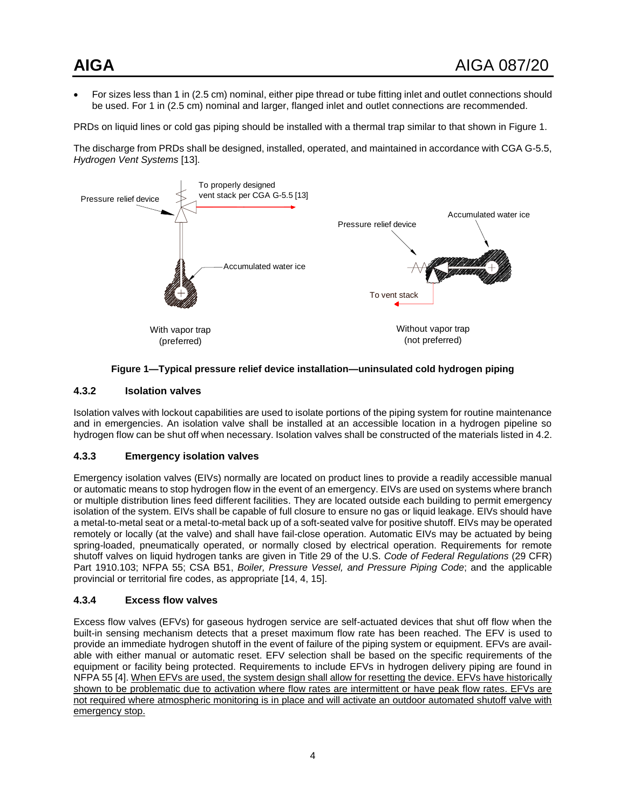For sizes less than 1 in (2.5 cm) nominal, either pipe thread or tube fitting inlet and outlet connections should be used. For 1 in (2.5 cm) nominal and larger, flanged inlet and outlet connections are recommended.

PRDs on liquid lines or cold gas piping should be installed with a thermal trap similar to that shown in Figure 1.

The discharge from PRDs shall be designed, installed, operated, and maintained in accordance with CGA G-5.5, *Hydrogen Vent Systems* [13].



#### **Figure 1—Typical pressure relief device installation—uninsulated cold hydrogen piping**

#### <span id="page-6-0"></span>**4.3.2 Isolation valves**

Isolation valves with lockout capabilities are used to isolate portions of the piping system for routine maintenance and in emergencies. An isolation valve shall be installed at an accessible location in a hydrogen pipeline so hydrogen flow can be shut off when necessary. Isolation valves shall be constructed of the materials listed in 4.2.

#### **4.3.3 Emergency isolation valves**

Emergency isolation valves (EIVs) normally are located on product lines to provide a readily accessible manual or automatic means to stop hydrogen flow in the event of an emergency. EIVs are used on systems where branch or multiple distribution lines feed different facilities. They are located outside each building to permit emergency isolation of the system. EIVs shall be capable of full closure to ensure no gas or liquid leakage. EIVs should have a metal-to-metal seat or a metal-to-metal back up of a soft-seated valve for positive shutoff. EIVs may be operated remotely or locally (at the valve) and shall have fail-close operation. Automatic EIVs may be actuated by being spring-loaded, pneumatically operated, or normally closed by electrical operation. Requirements for remote shutoff valves on liquid hydrogen tanks are given in Title 29 of the U.S. *Code of Federal Regulations* (29 CFR) Part 1910.103; NFPA 55; CSA B51, *Boiler, Pressure Vessel, and Pressure Piping Code*; and the applicable provincial or territorial fire codes, as appropriate [14, 4, 15].

#### **4.3.4 Excess flow valves**

Excess flow valves (EFVs) for gaseous hydrogen service are self-actuated devices that shut off flow when the built-in sensing mechanism detects that a preset maximum flow rate has been reached. The EFV is used to provide an immediate hydrogen shutoff in the event of failure of the piping system or equipment. EFVs are available with either manual or automatic reset. EFV selection shall be based on the specific requirements of the equipment or facility being protected. Requirements to include EFVs in hydrogen delivery piping are found in NFPA 55 [4]. When EFVs are used, the system design shall allow for resetting the device. EFVs have historically shown to be problematic due to activation where flow rates are intermittent or have peak flow rates. EFVs are not required where atmospheric monitoring is in place and will activate an outdoor automated shutoff valve with emergency stop.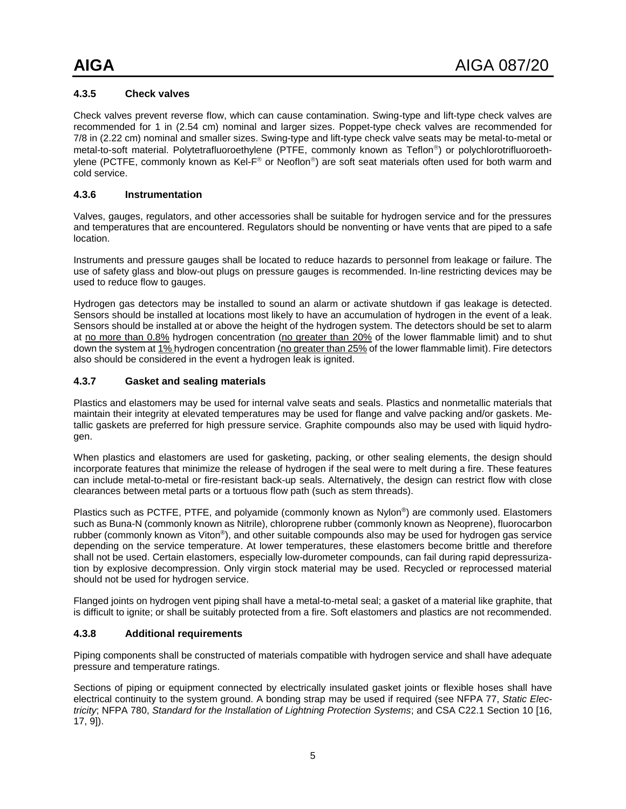#### **4.3.5 Check valves**

Check valves prevent reverse flow, which can cause contamination. Swing-type and lift-type check valves are recommended for 1 in (2.54 cm) nominal and larger sizes. Poppet-type check valves are recommended for 7/8 in (2.22 cm) nominal and smaller sizes. Swing-type and lift-type check valve seats may be metal-to-metal or metal-to-soft material. Polytetrafluoroethylene (PTFE, commonly known as Teflon<sup>®</sup>) or polychlorotrifluoroethylene (PCTFE, commonly known as Kel-F® or Neoflon®) are soft seat materials often used for both warm and cold service.

#### **4.3.6 Instrumentation**

Valves, gauges, regulators, and other accessories shall be suitable for hydrogen service and for the pressures and temperatures that are encountered. Regulators should be nonventing or have vents that are piped to a safe location.

Instruments and pressure gauges shall be located to reduce hazards to personnel from leakage or failure. The use of safety glass and blow-out plugs on pressure gauges is recommended. In-line restricting devices may be used to reduce flow to gauges.

Hydrogen gas detectors may be installed to sound an alarm or activate shutdown if gas leakage is detected. Sensors should be installed at locations most likely to have an accumulation of hydrogen in the event of a leak. Sensors should be installed at or above the height of the hydrogen system. The detectors should be set to alarm at no more than 0.8% hydrogen concentration (no greater than 20% of the lower flammable limit) and to shut down the system at 1% hydrogen concentration (no greater than 25% of the lower flammable limit). Fire detectors also should be considered in the event a hydrogen leak is ignited.

#### **4.3.7 Gasket and sealing materials**

Plastics and elastomers may be used for internal valve seats and seals. Plastics and nonmetallic materials that maintain their integrity at elevated temperatures may be used for flange and valve packing and/or gaskets. Metallic gaskets are preferred for high pressure service. Graphite compounds also may be used with liquid hydrogen.

When plastics and elastomers are used for gasketing, packing, or other sealing elements, the design should incorporate features that minimize the release of hydrogen if the seal were to melt during a fire. These features can include metal-to-metal or fire-resistant back-up seals. Alternatively, the design can restrict flow with close clearances between metal parts or a tortuous flow path (such as stem threads).

Plastics such as PCTFE, PTFE, and polyamide (commonly known as Nylon®) are commonly used. Elastomers such as Buna-N (commonly known as Nitrile), chloroprene rubber (commonly known as Neoprene), fluorocarbon rubber (commonly known as Viton®), and other suitable compounds also may be used for hydrogen gas service depending on the service temperature. At lower temperatures, these elastomers become brittle and therefore shall not be used. Certain elastomers, especially low-durometer compounds, can fail during rapid depressurization by explosive decompression. Only virgin stock material may be used. Recycled or reprocessed material should not be used for hydrogen service.

Flanged joints on hydrogen vent piping shall have a metal-to-metal seal; a gasket of a material like graphite, that is difficult to ignite; or shall be suitably protected from a fire. Soft elastomers and plastics are not recommended.

#### **4.3.8 Additional requirements**

Piping components shall be constructed of materials compatible with hydrogen service and shall have adequate pressure and temperature ratings.

Sections of piping or equipment connected by electrically insulated gasket joints or flexible hoses shall have electrical continuity to the system ground. A bonding strap may be used if required (see NFPA 77, *Static Electricity*; NFPA 780, *Standard for the Installation of Lightning Protection Systems*; and CSA C22.1 Section 10 [16, 17, 9]).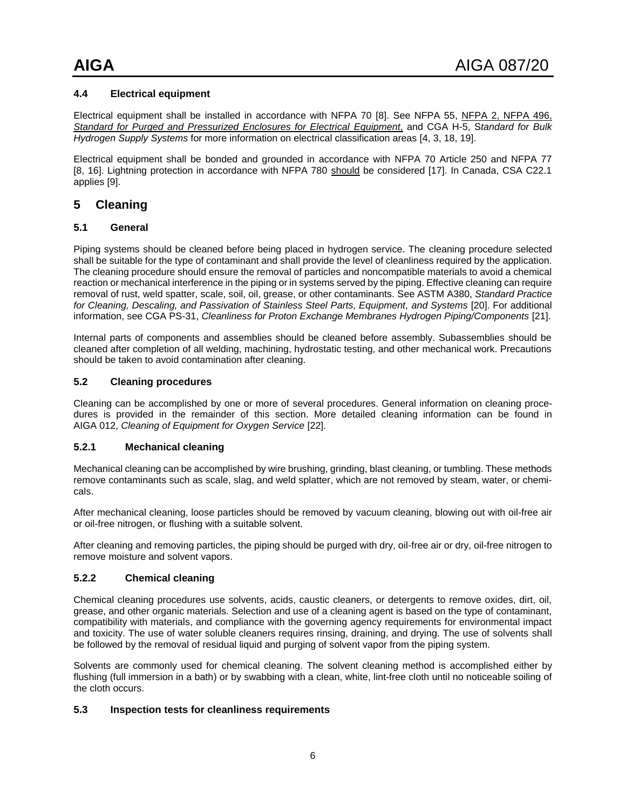#### <span id="page-8-0"></span>**4.4 Electrical equipment**

Electrical equipment shall be installed in accordance with NFPA 70 [8]. See NFPA 55, NFPA 2, NFPA 496, *Standard for Purged and Pressurized Enclosures for Electrical Equipment*, and CGA H-5, S*tandard for Bulk Hydrogen Supply Systems* for more information on electrical classification areas [4, 3, 18, 19].

Electrical equipment shall be bonded and grounded in accordance with NFPA 70 Article 250 and NFPA 77 [8, 16]. Lightning protection in accordance with NFPA 780 should be considered [17]. In Canada, CSA C22.1 applies [9].

#### <span id="page-8-1"></span>**5 Cleaning**

#### <span id="page-8-2"></span>**5.1 General**

Piping systems should be cleaned before being placed in hydrogen service. The cleaning procedure selected shall be suitable for the type of contaminant and shall provide the level of cleanliness required by the application. The cleaning procedure should ensure the removal of particles and noncompatible materials to avoid a chemical reaction or mechanical interference in the piping or in systems served by the piping. Effective cleaning can require removal of rust, weld spatter, scale, soil, oil, grease, or other contaminants. See ASTM A380, *Standard Practice for Cleaning, Descaling, and Passivation of Stainless Steel Parts, Equipment, and Systems* [20]. For additional information, see CGA PS-31, *Cleanliness for Proton Exchange Membranes Hydrogen Piping/Components* [21].

Internal parts of components and assemblies should be cleaned before assembly. Subassemblies should be cleaned after completion of all welding, machining, hydrostatic testing, and other mechanical work. Precautions should be taken to avoid contamination after cleaning.

#### <span id="page-8-3"></span>**5.2 Cleaning procedures**

Cleaning can be accomplished by one or more of several procedures. General information on cleaning procedures is provided in the remainder of this section. More detailed cleaning information can be found in AIGA 012, *Cleaning of Equipment for Oxygen Service* [22].

#### **5.2.1 Mechanical cleaning**

Mechanical cleaning can be accomplished by wire brushing, grinding, blast cleaning, or tumbling. These methods remove contaminants such as scale, slag, and weld splatter, which are not removed by steam, water, or chemicals.

After mechanical cleaning, loose particles should be removed by vacuum cleaning, blowing out with oil-free air or oil-free nitrogen, or flushing with a suitable solvent.

After cleaning and removing particles, the piping should be purged with dry, oil-free air or dry, oil-free nitrogen to remove moisture and solvent vapors.

#### **5.2.2 Chemical cleaning**

Chemical cleaning procedures use solvents, acids, caustic cleaners, or detergents to remove oxides, dirt, oil, grease, and other organic materials. Selection and use of a cleaning agent is based on the type of contaminant, compatibility with materials, and compliance with the governing agency requirements for environmental impact and toxicity. The use of water soluble cleaners requires rinsing, draining, and drying. The use of solvents shall be followed by the removal of residual liquid and purging of solvent vapor from the piping system.

Solvents are commonly used for chemical cleaning. The solvent cleaning method is accomplished either by flushing (full immersion in a bath) or by swabbing with a clean, white, lint-free cloth until no noticeable soiling of the cloth occurs.

#### <span id="page-8-4"></span>**5.3 Inspection tests for cleanliness requirements**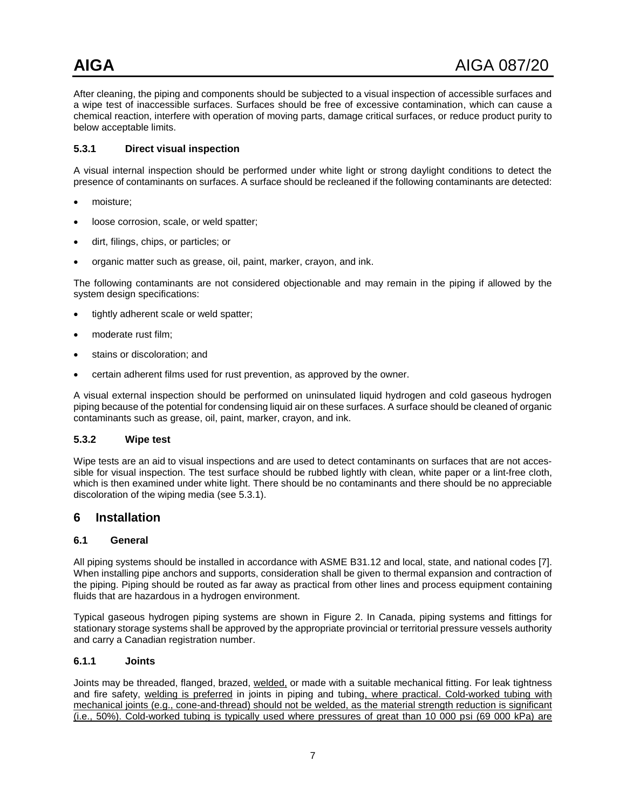After cleaning, the piping and components should be subjected to a visual inspection of accessible surfaces and a wipe test of inaccessible surfaces. Surfaces should be free of excessive contamination, which can cause a chemical reaction, interfere with operation of moving parts, damage critical surfaces, or reduce product purity to below acceptable limits.

#### **5.3.1 Direct visual inspection**

A visual internal inspection should be performed under white light or strong daylight conditions to detect the presence of contaminants on surfaces. A surface should be recleaned if the following contaminants are detected:

- moisture;
- loose corrosion, scale, or weld spatter;
- dirt, filings, chips, or particles; or
- organic matter such as grease, oil, paint, marker, crayon, and ink.

The following contaminants are not considered objectionable and may remain in the piping if allowed by the system design specifications:

- tightly adherent scale or weld spatter;
- moderate rust film;
- stains or discoloration; and
- certain adherent films used for rust prevention, as approved by the owner.

A visual external inspection should be performed on uninsulated liquid hydrogen and cold gaseous hydrogen piping because of the potential for condensing liquid air on these surfaces. A surface should be cleaned of organic contaminants such as grease, oil, paint, marker, crayon, and ink.

#### **5.3.2 Wipe test**

Wipe tests are an aid to visual inspections and are used to detect contaminants on surfaces that are not accessible for visual inspection. The test surface should be rubbed lightly with clean, white paper or a lint-free cloth, which is then examined under white light. There should be no contaminants and there should be no appreciable discoloration of the wiping media (see 5.3.1).

#### <span id="page-9-0"></span>**6 Installation**

#### <span id="page-9-1"></span>**6.1 General**

All piping systems should be installed in accordance with ASME B31.12 and local, state, and national codes [7]. When installing pipe anchors and supports, consideration shall be given to thermal expansion and contraction of the piping. Piping should be routed as far away as practical from other lines and process equipment containing fluids that are hazardous in a hydrogen environment.

Typical gaseous hydrogen piping systems are shown in Figure 2. In Canada, piping systems and fittings for stationary storage systems shall be approved by the appropriate provincial or territorial pressure vessels authority and carry a Canadian registration number.

#### **6.1.1 Joints**

Joints may be threaded, flanged, brazed, welded, or made with a suitable mechanical fitting. For leak tightness and fire safety, welding is preferred in joints in piping and tubing, where practical. Cold-worked tubing with mechanical joints (e.g., cone-and-thread) should not be welded, as the material strength reduction is significant (i.e., 50%). Cold-worked tubing is typically used where pressures of great than 10 000 psi (69 000 kPa) are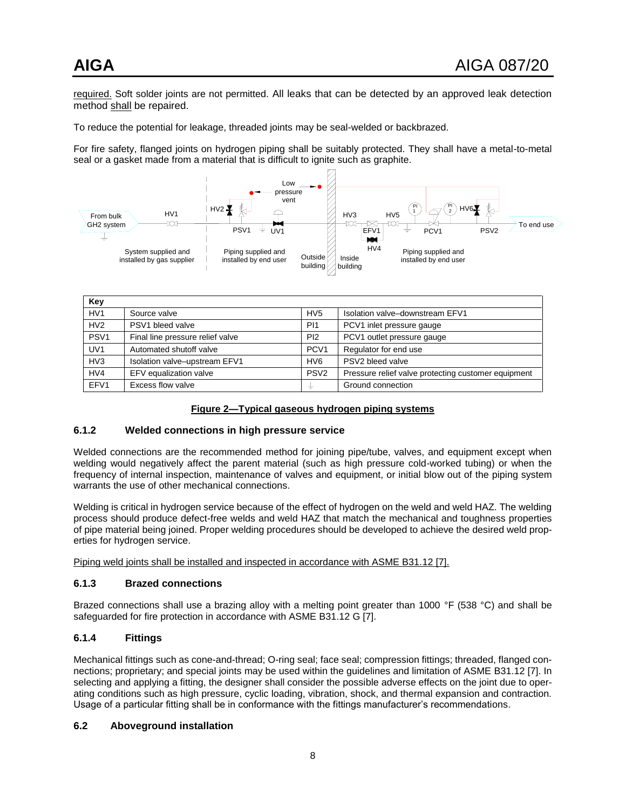required. Soft solder joints are not permitted. All leaks that can be detected by an approved leak detection method shall be repaired.

To reduce the potential for leakage, threaded joints may be seal-welded or backbrazed.

For fire safety, flanged joints on hydrogen piping shall be suitably protected. They shall have a metal-to-metal seal or a gasket made from a material that is difficult to ignite such as graphite.



| Key              |                                  |                  |                                                     |  |  |
|------------------|----------------------------------|------------------|-----------------------------------------------------|--|--|
| HV <sub>1</sub>  | Source valve                     | HV <sub>5</sub>  | Isolation valve-downstream EFV1                     |  |  |
| HV2              | PSV1 bleed valve                 | P <sub>11</sub>  | PCV1 inlet pressure gauge                           |  |  |
| PSV <sub>1</sub> | Final line pressure relief valve | PI2              | PCV1 outlet pressure gauge                          |  |  |
| UV <sub>1</sub>  | Automated shutoff valve          | PCV <sub>1</sub> | Regulator for end use                               |  |  |
| HV <sub>3</sub>  | Isolation valve-upstream EFV1    | HV <sub>6</sub>  | PSV2 bleed valve                                    |  |  |
| HV4              | EFV equalization valve           | PS <sub>V2</sub> | Pressure relief valve protecting customer equipment |  |  |
| EFV1             | Excess flow valve                |                  | Ground connection                                   |  |  |

#### **Figure 2—Typical gaseous hydrogen piping systems**

#### <span id="page-10-1"></span>**6.1.2 Welded connections in high pressure service**

Welded connections are the recommended method for joining pipe/tube, valves, and equipment except when welding would negatively affect the parent material (such as high pressure cold-worked tubing) or when the frequency of internal inspection, maintenance of valves and equipment, or initial blow out of the piping system warrants the use of other mechanical connections.

Welding is critical in hydrogen service because of the effect of hydrogen on the weld and weld HAZ. The welding process should produce defect-free welds and weld HAZ that match the mechanical and toughness properties of pipe material being joined. Proper welding procedures should be developed to achieve the desired weld properties for hydrogen service.

Piping weld joints shall be installed and inspected in accordance with ASME B31.12 [7].

#### **6.1.3 Brazed connections**

Brazed connections shall use a brazing alloy with a melting point greater than 1000 °F (538 °C) and shall be safeguarded for fire protection in accordance with ASME B31.12 G [7].

#### **6.1.4 Fittings**

Mechanical fittings such as cone-and-thread; O-ring seal; face seal; compression fittings; threaded, flanged connections; proprietary; and special joints may be used within the guidelines and limitation of ASME B31.12 [7]. In selecting and applying a fitting, the designer shall consider the possible adverse effects on the joint due to operating conditions such as high pressure, cyclic loading, vibration, shock, and thermal expansion and contraction. Usage of a particular fitting shall be in conformance with the fittings manufacturer's recommendations.

#### <span id="page-10-0"></span>**6.2 Aboveground installation**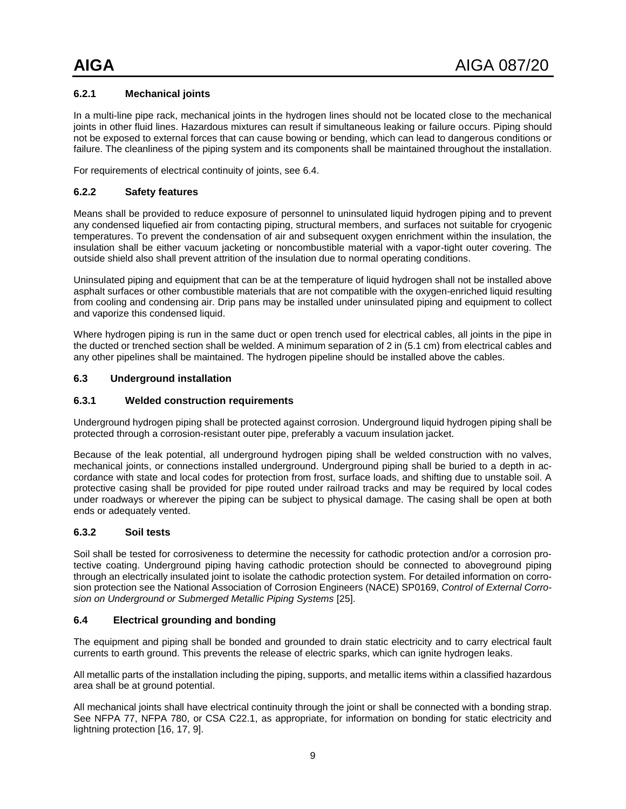#### **6.2.1 Mechanical joints**

In a multi-line pipe rack, mechanical joints in the hydrogen lines should not be located close to the mechanical joints in other fluid lines. Hazardous mixtures can result if simultaneous leaking or failure occurs. Piping should not be exposed to external forces that can cause bowing or bending, which can lead to dangerous conditions or failure. The cleanliness of the piping system and its components shall be maintained throughout the installation.

For requirements of electrical continuity of joints, see 6.4.

#### **6.2.2 Safety features**

Means shall be provided to reduce exposure of personnel to uninsulated liquid hydrogen piping and to prevent any condensed liquefied air from contacting piping, structural members, and surfaces not suitable for cryogenic temperatures. To prevent the condensation of air and subsequent oxygen enrichment within the insulation, the insulation shall be either vacuum jacketing or noncombustible material with a vapor-tight outer covering. The outside shield also shall prevent attrition of the insulation due to normal operating conditions.

Uninsulated piping and equipment that can be at the temperature of liquid hydrogen shall not be installed above asphalt surfaces or other combustible materials that are not compatible with the oxygen-enriched liquid resulting from cooling and condensing air. Drip pans may be installed under uninsulated piping and equipment to collect and vaporize this condensed liquid.

Where hydrogen piping is run in the same duct or open trench used for electrical cables, all joints in the pipe in the ducted or trenched section shall be welded. A minimum separation of 2 in (5.1 cm) from electrical cables and any other pipelines shall be maintained. The hydrogen pipeline should be installed above the cables.

#### <span id="page-11-0"></span>**6.3 Underground installation**

#### **6.3.1 Welded construction requirements**

Underground hydrogen piping shall be protected against corrosion. Underground liquid hydrogen piping shall be protected through a corrosion-resistant outer pipe, preferably a vacuum insulation jacket.

Because of the leak potential, all underground hydrogen piping shall be welded construction with no valves, mechanical joints, or connections installed underground. Underground piping shall be buried to a depth in accordance with state and local codes for protection from frost, surface loads, and shifting due to unstable soil. A protective casing shall be provided for pipe routed under railroad tracks and may be required by local codes under roadways or wherever the piping can be subject to physical damage. The casing shall be open at both ends or adequately vented.

#### **6.3.2 Soil tests**

Soil shall be tested for corrosiveness to determine the necessity for cathodic protection and/or a corrosion protective coating. Underground piping having cathodic protection should be connected to aboveground piping through an electrically insulated joint to isolate the cathodic protection system. For detailed information on corrosion protection see the National Association of Corrosion Engineers (NACE) SP0169, *Control of External Corrosion on Underground or Submerged Metallic Piping Systems* [25].

#### <span id="page-11-1"></span>**6.4 Electrical grounding and bonding**

The equipment and piping shall be bonded and grounded to drain static electricity and to carry electrical fault currents to earth ground. This prevents the release of electric sparks, which can ignite hydrogen leaks.

All metallic parts of the installation including the piping, supports, and metallic items within a classified hazardous area shall be at ground potential.

All mechanical joints shall have electrical continuity through the joint or shall be connected with a bonding strap. See NFPA 77, NFPA 780, or CSA C22.1, as appropriate, for information on bonding for static electricity and lightning protection [16, 17, 9].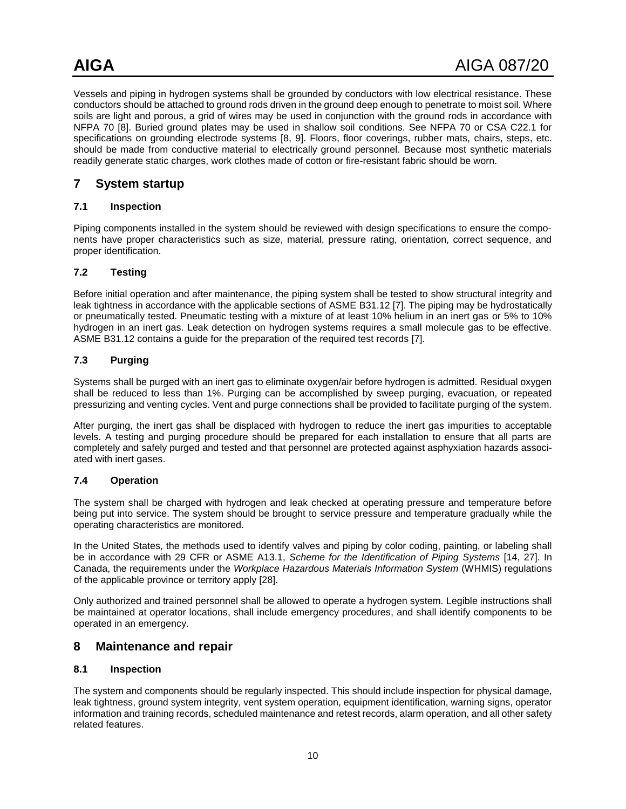Vessels and piping in hydrogen systems shall be grounded by conductors with low electrical resistance. These conductors should be attached to ground rods driven in the ground deep enough to penetrate to moist soil. Where soils are light and porous, a grid of wires may be used in conjunction with the ground rods in accordance with NFPA 70 [8]. Buried ground plates may be used in shallow soil conditions. See NFPA 70 or CSA C22.1 for specifications on grounding electrode systems [8, 9]. Floors, floor coverings, rubber mats, chairs, steps, etc. should be made from conductive material to electrically ground personnel. Because most synthetic materials readily generate static charges, work clothes made of cotton or fire-resistant fabric should be worn.

#### <span id="page-12-0"></span>**7 System startup**

#### <span id="page-12-1"></span>**7.1 Inspection**

Piping components installed in the system should be reviewed with design specifications to ensure the components have proper characteristics such as size, material, pressure rating, orientation, correct sequence, and proper identification.

#### <span id="page-12-2"></span>**7.2 Testing**

Before initial operation and after maintenance, the piping system shall be tested to show structural integrity and leak tightness in accordance with the applicable sections of ASME B31.12 [7]. The piping may be hydrostatically or pneumatically tested. Pneumatic testing with a mixture of at least 10% helium in an inert gas or 5% to 10% hydrogen in an inert gas. Leak detection on hydrogen systems requires a small molecule gas to be effective. ASME B31.12 contains a guide for the preparation of the required test records [7].

#### <span id="page-12-3"></span>**7.3 Purging**

Systems shall be purged with an inert gas to eliminate oxygen/air before hydrogen is admitted. Residual oxygen shall be reduced to less than 1%. Purging can be accomplished by sweep purging, evacuation, or repeated pressurizing and venting cycles. Vent and purge connections shall be provided to facilitate purging of the system.

After purging, the inert gas shall be displaced with hydrogen to reduce the inert gas impurities to acceptable levels. A testing and purging procedure should be prepared for each installation to ensure that all parts are completely and safely purged and tested and that personnel are protected against asphyxiation hazards associated with inert gases.

#### <span id="page-12-4"></span>**7.4 Operation**

The system shall be charged with hydrogen and leak checked at operating pressure and temperature before being put into service. The system should be brought to service pressure and temperature gradually while the operating characteristics are monitored.

In the United States, the methods used to identify valves and piping by color coding, painting, or labeling shall be in accordance with 29 CFR or ASME A13.1, *Scheme for the Identification of Piping Systems* [14, 27]. In Canada, the requirements under the *Workplace Hazardous Materials Information System* (WHMIS) regulations of the applicable province or territory apply [28].

Only authorized and trained personnel shall be allowed to operate a hydrogen system. Legible instructions shall be maintained at operator locations, shall include emergency procedures, and shall identify components to be operated in an emergency.

#### <span id="page-12-5"></span>**8 Maintenance and repair**

#### <span id="page-12-6"></span>**8.1 Inspection**

The system and components should be regularly inspected. This should include inspection for physical damage, leak tightness, ground system integrity, vent system operation, equipment identification, warning signs, operator information and training records, scheduled maintenance and retest records, alarm operation, and all other safety related features.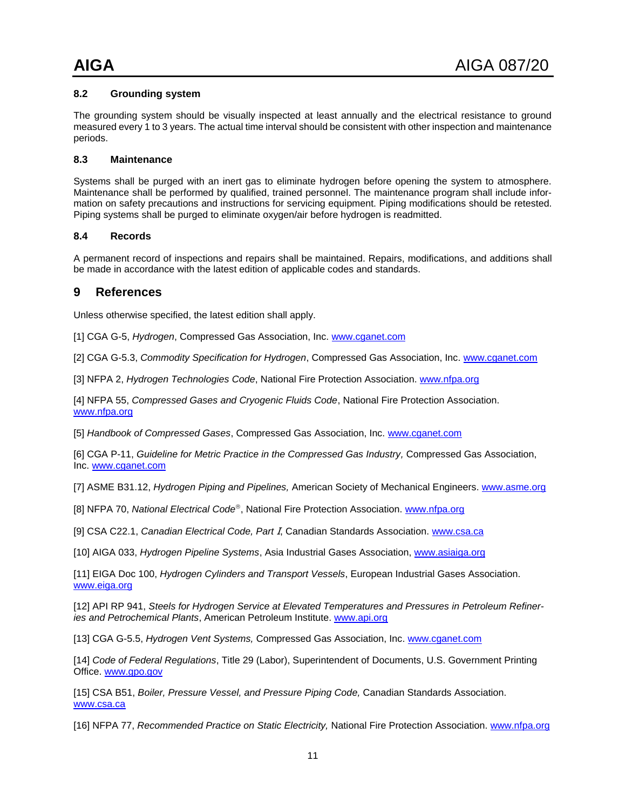#### <span id="page-13-0"></span>**8.2 Grounding system**

The grounding system should be visually inspected at least annually and the electrical resistance to ground measured every 1 to 3 years. The actual time interval should be consistent with other inspection and maintenance periods.

#### <span id="page-13-1"></span>**8.3 Maintenance**

Systems shall be purged with an inert gas to eliminate hydrogen before opening the system to atmosphere. Maintenance shall be performed by qualified, trained personnel. The maintenance program shall include information on safety precautions and instructions for servicing equipment. Piping modifications should be retested. Piping systems shall be purged to eliminate oxygen/air before hydrogen is readmitted.

#### <span id="page-13-2"></span>**8.4 Records**

A permanent record of inspections and repairs shall be maintained. Repairs, modifications, and additions shall be made in accordance with the latest edition of applicable codes and standards.

#### <span id="page-13-3"></span>**9 References**

Unless otherwise specified, the latest edition shall apply.

[1] CGA G-5, *Hydrogen*, Compressed Gas Association, Inc. [www.cganet.com](http://www.cganet.com/)

[2] CGA G-5.3, *Commodity Specification for Hydrogen*, Compressed Gas Association, Inc. [www.cganet.com](http://www.cganet.com/)

[3] NFPA 2, *Hydrogen Technologies Code*, National Fire Protection Association[. www.nfpa.org](http://www.nfpa.org/)

[4] NFPA 55, *Compressed Gases and Cryogenic Fluids Code*, National Fire Protection Association. [www.nfpa.org](http://www.nfpa.org/)

[5] *Handbook of Compressed Gases*, Compressed Gas Association, Inc. [www.cganet.com](http://www.cganet.com/)

[6] CGA P-11, *Guideline for Metric Practice in the Compressed Gas Industry,* Compressed Gas Association, Inc. [www.cganet.com](http://www.cganet.com/)

[7] ASME B31.12, *Hydrogen Piping and Pipelines,* American Society of Mechanical Engineers. [www.asme.org](http://www.asme.org/)

[8] NFPA 70, *National Electrical Code*<sup>®</sup>, National Fire Protection Association. [www.nfpa.org](http://www.nfpa.org/Catalog/)

[9] CSA C22.1, *Canadian Electrical Code, Part* I, Canadian Standards Association. [www.csa.ca](http://www.csa.ca/)

[10] AIGA 033, *Hydrogen Pipeline Systems*, Asia Industrial Gases Association, [www.asiaiga.org](http://www.asiaiga.org/)

[11] EIGA Doc 100, *Hydrogen Cylinders and Transport Vessels*, European Industrial Gases Association. [www.eiga.org](http://www.eiga.org/)

[12] API RP 941, *Steels for Hydrogen Service at Elevated Temperatures and Pressures in Petroleum Refineries and Petrochemical Plants*, American Petroleum Institute. [www.api.org](http://www.api.org/)

[13] CGA G-5.5, *Hydrogen Vent Systems,* Compressed Gas Association, Inc. [www.cganet.com](http://www.cganet.com/)

[14] *Code of Federal Regulations*, Title 29 (Labor), Superintendent of Documents, U.S. Government Printing Office. [www.gpo.gov](http://www.gpo.gov/)

[15] CSA B51, *Boiler, Pressure Vessel, and Pressure Piping Code,* Canadian Standards Association. [www.csa.ca](http://www.csa.ca/)

[16] NFPA 77, *Recommended Practice on Static Electricity,* National Fire Protection Association. [www.nfpa.org](http://www.nfpa.org/Catalog/)